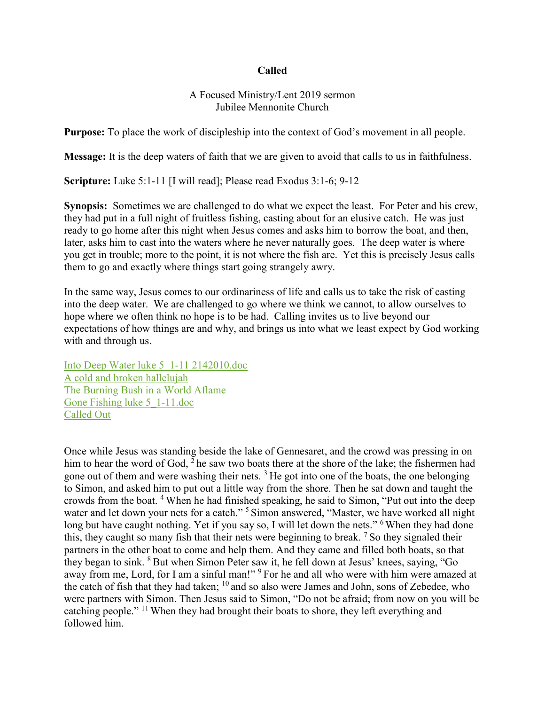### **Called**

### A Focused Ministry/Lent 2019 sermon Jubilee Mennonite Church

**Purpose:** To place the work of discipleship into the context of God's movement in all people.

**Message:** It is the deep waters of faith that we are given to avoid that calls to us in faithfulness.

**Scripture:** Luke 5:1-11 [I will read]; Please read Exodus 3:1-6; 9-12

**Synopsis:** Sometimes we are challenged to do what we expect the least. For Peter and his crew, they had put in a full night of fruitless fishing, casting about for an elusive catch. He was just ready to go home after this night when Jesus comes and asks him to borrow the boat, and then, later, asks him to cast into the waters where he never naturally goes. The deep water is where you get in trouble; more to the point, it is not where the fish are. Yet this is precisely Jesus calls them to go and exactly where things start going strangely awry.

In the same way, Jesus comes to our ordinariness of life and calls us to take the risk of casting into the deep water. We are challenged to go where we think we cannot, to allow ourselves to hope where we often think no hope is to be had. Calling invites us to live beyond our expectations of how things are and why, and brings us into what we least expect by God working with and through us.

[Into Deep Water luke 5\\_1-11 2142010.doc](https://www.evernote.com/shard/s249/nl/31369896/05d264eb-5513-439c-bd67-4a6869737c97) A [cold and broken hallelujah](https://www.evernote.com/shard/s249/nl/31369896/c817c5a6-50f2-4668-8ce7-e05318a8ae30) [The Burning Bush in a World Aflame](https://www.evernote.com/shard/s249/nl/31369896/25e122e2-8a19-461c-8f8e-6023595a0e88) [Gone Fishing luke 5\\_1-11.doc](https://www.evernote.com/shard/s249/nl/31369896/ca211964-fb98-4891-87cc-7315a25c6530) [Called Out](https://www.evernote.com/shard/s249/nl/31369896/71461009-c90f-458f-ac6d-0a90201ff3c7)

Once while Jesus was standing beside the lake of Gennesaret, and the crowd was pressing in on him to hear the word of God,  $2$  he saw two boats there at the shore of the lake; the fishermen had gone out of them and were washing their nets.  $3$  He got into one of the boats, the one belonging to Simon, and asked him to put out a little way from the shore. Then he sat down and taught the crowds from the boat. <sup>4</sup> When he had finished speaking, he said to Simon, "Put out into the deep water and let down your nets for a catch."<sup>5</sup> Simon answered, "Master, we have worked all night long but have caught nothing. Yet if you say so, I will let down the nets." <sup>6</sup> When they had done this, they caught so many fish that their nets were beginning to break. <sup>7</sup> So they signaled their partners in the other boat to come and help them. And they came and filled both boats, so that they began to sink. <sup>8</sup> But when Simon Peter saw it, he fell down at Jesus' knees, saying, "Go away from me, Lord, for I am a sinful man!" <sup>9</sup> For he and all who were with him were amazed at the catch of fish that they had taken; <sup>10</sup> and so also were James and John, sons of Zebedee, who were partners with Simon. Then Jesus said to Simon, "Do not be afraid; from now on you will be catching people." <sup>11</sup> When they had brought their boats to shore, they left everything and followed him.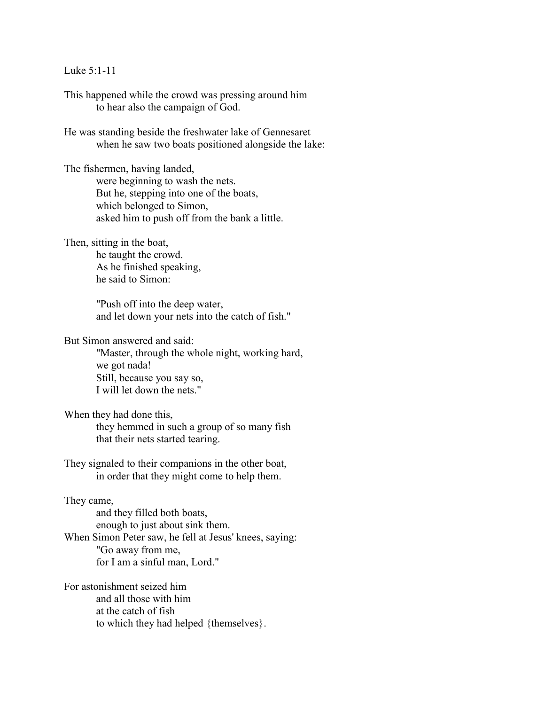#### Luke 5:1-11

This happened while the crowd was pressing around him to hear also the campaign of God.

He was standing beside the freshwater lake of Gennesaret when he saw two boats positioned alongside the lake:

The fishermen, having landed,

were beginning to wash the nets. But he, stepping into one of the boats, which belonged to Simon, asked him to push off from the bank a little.

Then, sitting in the boat,

he taught the crowd. As he finished speaking, he said to Simon:

"Push off into the deep water, and let down your nets into the catch of fish."

But Simon answered and said:

"Master, through the whole night, working hard, we got nada! Still, because you say so, I will let down the nets."

When they had done this,

they hemmed in such a group of so many fish that their nets started tearing.

They signaled to their companions in the other boat, in order that they might come to help them.

#### They came,

and they filled both boats, enough to just about sink them. When Simon Peter saw, he fell at Jesus' knees, saying: "Go away from me, for I am a sinful man, Lord."

For astonishment seized him and all those with him at the catch of fish to which they had helped {themselves}.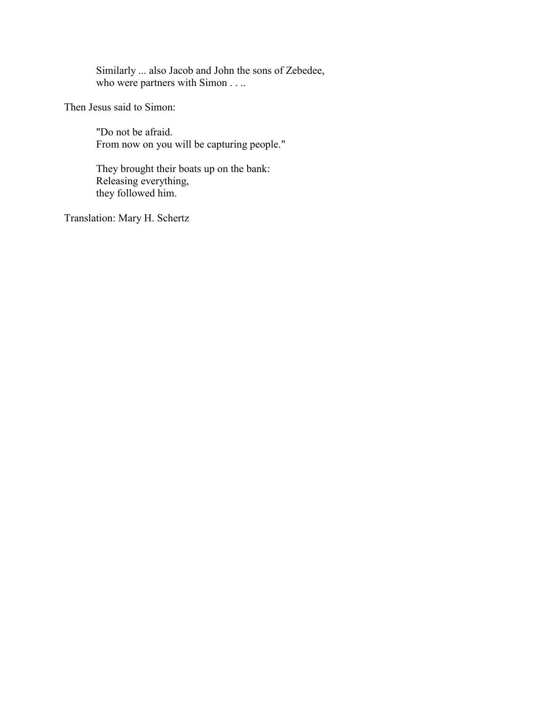Similarly ... also Jacob and John the sons of Zebedee, who were partners with Simon . . ..

Then Jesus said to Simon:

"Do not be afraid. From now on you will be capturing people."

They brought their boats up on the bank: Releasing everything, they followed him.

Translation: Mary H. Schertz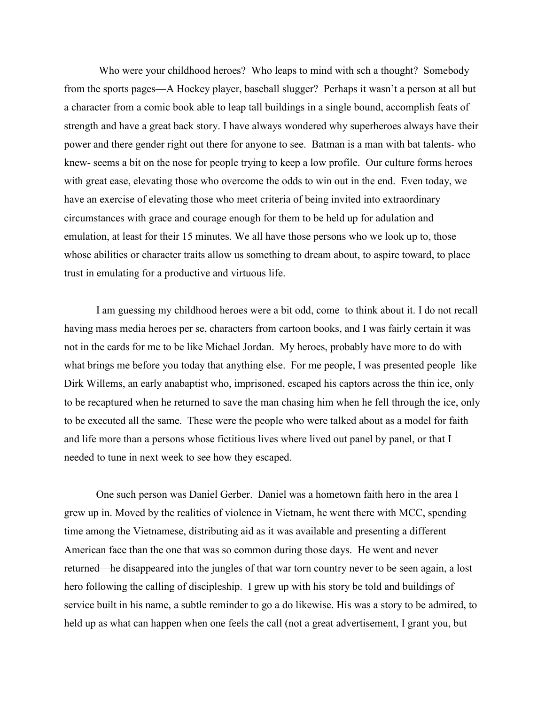Who were your childhood heroes? Who leaps to mind with sch a thought? Somebody from the sports pages—A Hockey player, baseball slugger? Perhaps it wasn't a person at all but a character from a comic book able to leap tall buildings in a single bound, accomplish feats of strength and have a great back story. I have always wondered why superheroes always have their power and there gender right out there for anyone to see. Batman is a man with bat talents- who knew- seems a bit on the nose for people trying to keep a low profile. Our culture forms heroes with great ease, elevating those who overcome the odds to win out in the end. Even today, we have an exercise of elevating those who meet criteria of being invited into extraordinary circumstances with grace and courage enough for them to be held up for adulation and emulation, at least for their 15 minutes. We all have those persons who we look up to, those whose abilities or character traits allow us something to dream about, to aspire toward, to place trust in emulating for a productive and virtuous life.

 I am guessing my childhood heroes were a bit odd, come to think about it. I do not recall having mass media heroes per se, characters from cartoon books, and I was fairly certain it was not in the cards for me to be like Michael Jordan. My heroes, probably have more to do with what brings me before you today that anything else. For me people, I was presented people like Dirk Willems, an early anabaptist who, imprisoned, escaped his captors across the thin ice, only to be recaptured when he returned to save the man chasing him when he fell through the ice, only to be executed all the same. These were the people who were talked about as a model for faith and life more than a persons whose fictitious lives where lived out panel by panel, or that I needed to tune in next week to see how they escaped.

 One such person was Daniel Gerber. Daniel was a hometown faith hero in the area I grew up in. Moved by the realities of violence in Vietnam, he went there with MCC, spending time among the Vietnamese, distributing aid as it was available and presenting a different American face than the one that was so common during those days. He went and never returned—he disappeared into the jungles of that war torn country never to be seen again, a lost hero following the calling of discipleship. I grew up with his story be told and buildings of service built in his name, a subtle reminder to go a do likewise. His was a story to be admired, to held up as what can happen when one feels the call (not a great advertisement, I grant you, but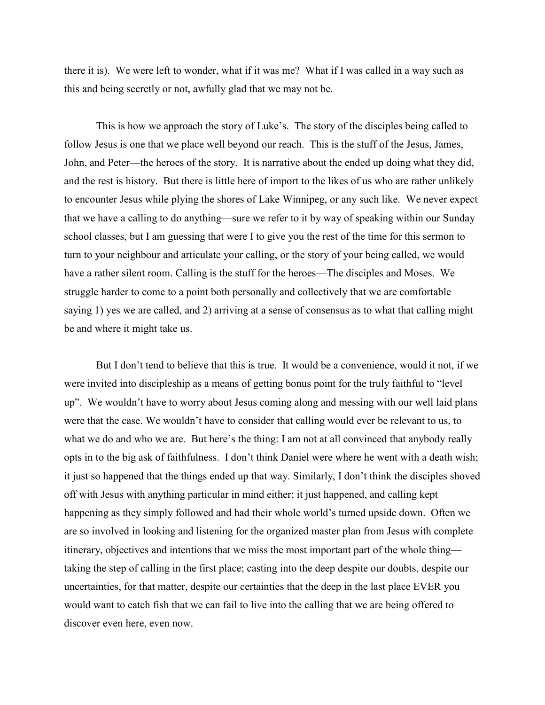there it is). We were left to wonder, what if it was me? What if I was called in a way such as this and being secretly or not, awfully glad that we may not be.

This is how we approach the story of Luke's. The story of the disciples being called to follow Jesus is one that we place well beyond our reach. This is the stuff of the Jesus, James, John, and Peter—the heroes of the story. It is narrative about the ended up doing what they did, and the rest is history. But there is little here of import to the likes of us who are rather unlikely to encounter Jesus while plying the shores of Lake Winnipeg, or any such like. We never expect that we have a calling to do anything—sure we refer to it by way of speaking within our Sunday school classes, but I am guessing that were I to give you the rest of the time for this sermon to turn to your neighbour and articulate your calling, or the story of your being called, we would have a rather silent room. Calling is the stuff for the heroes—The disciples and Moses. We struggle harder to come to a point both personally and collectively that we are comfortable saying 1) yes we are called, and 2) arriving at a sense of consensus as to what that calling might be and where it might take us.

But I don't tend to believe that this is true. It would be a convenience, would it not, if we were invited into discipleship as a means of getting bonus point for the truly faithful to "level up". We wouldn't have to worry about Jesus coming along and messing with our well laid plans were that the case. We wouldn't have to consider that calling would ever be relevant to us, to what we do and who we are. But here's the thing: I am not at all convinced that anybody really opts in to the big ask of faithfulness. I don't think Daniel were where he went with a death wish; it just so happened that the things ended up that way. Similarly, I don't think the disciples shoved off with Jesus with anything particular in mind either; it just happened, and calling kept happening as they simply followed and had their whole world's turned upside down. Often we are so involved in looking and listening for the organized master plan from Jesus with complete itinerary, objectives and intentions that we miss the most important part of the whole thing taking the step of calling in the first place; casting into the deep despite our doubts, despite our uncertainties, for that matter, despite our certainties that the deep in the last place EVER you would want to catch fish that we can fail to live into the calling that we are being offered to discover even here, even now.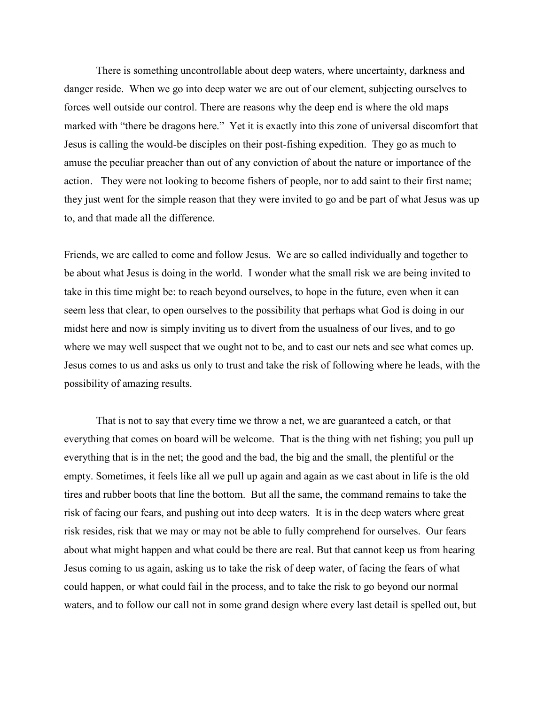There is something uncontrollable about deep waters, where uncertainty, darkness and danger reside. When we go into deep water we are out of our element, subjecting ourselves to forces well outside our control. There are reasons why the deep end is where the old maps marked with "there be dragons here." Yet it is exactly into this zone of universal discomfort that Jesus is calling the would-be disciples on their post-fishing expedition. They go as much to amuse the peculiar preacher than out of any conviction of about the nature or importance of the action. They were not looking to become fishers of people, nor to add saint to their first name; they just went for the simple reason that they were invited to go and be part of what Jesus was up to, and that made all the difference.

Friends, we are called to come and follow Jesus. We are so called individually and together to be about what Jesus is doing in the world. I wonder what the small risk we are being invited to take in this time might be: to reach beyond ourselves, to hope in the future, even when it can seem less that clear, to open ourselves to the possibility that perhaps what God is doing in our midst here and now is simply inviting us to divert from the usualness of our lives, and to go where we may well suspect that we ought not to be, and to cast our nets and see what comes up. Jesus comes to us and asks us only to trust and take the risk of following where he leads, with the possibility of amazing results.

That is not to say that every time we throw a net, we are guaranteed a catch, or that everything that comes on board will be welcome. That is the thing with net fishing; you pull up everything that is in the net; the good and the bad, the big and the small, the plentiful or the empty. Sometimes, it feels like all we pull up again and again as we cast about in life is the old tires and rubber boots that line the bottom. But all the same, the command remains to take the risk of facing our fears, and pushing out into deep waters. It is in the deep waters where great risk resides, risk that we may or may not be able to fully comprehend for ourselves. Our fears about what might happen and what could be there are real. But that cannot keep us from hearing Jesus coming to us again, asking us to take the risk of deep water, of facing the fears of what could happen, or what could fail in the process, and to take the risk to go beyond our normal waters, and to follow our call not in some grand design where every last detail is spelled out, but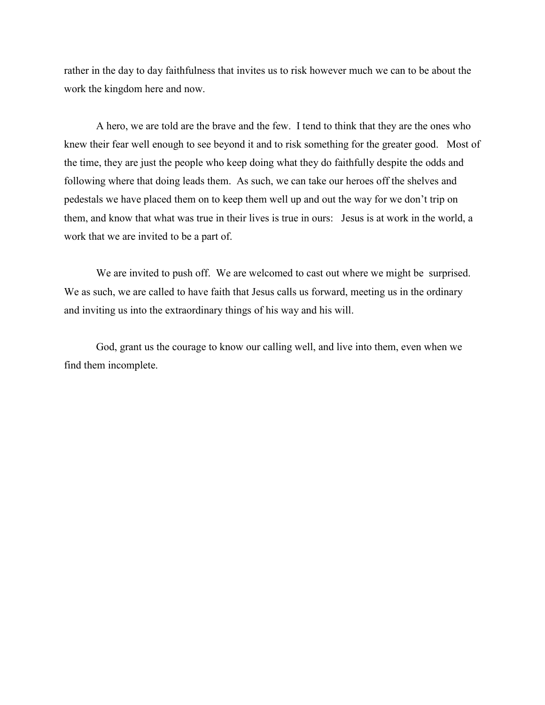rather in the day to day faithfulness that invites us to risk however much we can to be about the work the kingdom here and now.

A hero, we are told are the brave and the few. I tend to think that they are the ones who knew their fear well enough to see beyond it and to risk something for the greater good. Most of the time, they are just the people who keep doing what they do faithfully despite the odds and following where that doing leads them. As such, we can take our heroes off the shelves and pedestals we have placed them on to keep them well up and out the way for we don't trip on them, and know that what was true in their lives is true in ours: Jesus is at work in the world, a work that we are invited to be a part of.

We are invited to push off. We are welcomed to cast out where we might be surprised. We as such, we are called to have faith that Jesus calls us forward, meeting us in the ordinary and inviting us into the extraordinary things of his way and his will.

God, grant us the courage to know our calling well, and live into them, even when we find them incomplete.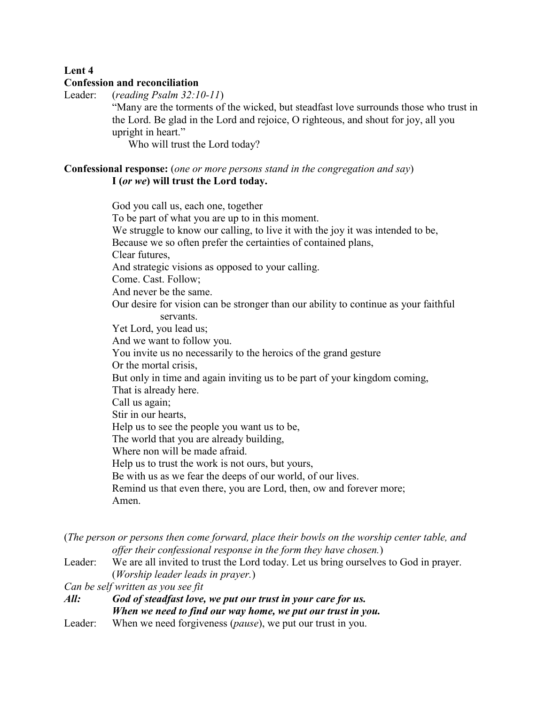## **Lent 4**

#### **Confession and reconciliation**

Leader: (*reading Psalm 32:10-11*)

"Many are the torments of the wicked, but steadfast love surrounds those who trust in the Lord. Be glad in the Lord and rejoice, O righteous, and shout for joy, all you upright in heart."

Who will trust the Lord today?

### **Confessional response:** (*one or more persons stand in the congregation and say*) **I (***or we***) will trust the Lord today.**

God you call us, each one, together To be part of what you are up to in this moment. We struggle to know our calling, to live it with the joy it was intended to be, Because we so often prefer the certainties of contained plans, Clear futures, And strategic visions as opposed to your calling. Come. Cast. Follow; And never be the same. Our desire for vision can be stronger than our ability to continue as your faithful servants. Yet Lord, you lead us; And we want to follow you. You invite us no necessarily to the heroics of the grand gesture Or the mortal crisis, But only in time and again inviting us to be part of your kingdom coming, That is already here. Call us again; Stir in our hearts, Help us to see the people you want us to be, The world that you are already building, Where non will be made afraid. Help us to trust the work is not ours, but yours, Be with us as we fear the deeps of our world, of our lives. Remind us that even there, you are Lord, then, ow and forever more; Amen.

| (The person or persons then come forward, place their bowls on the worship center table, and |                                                                                      |
|----------------------------------------------------------------------------------------------|--------------------------------------------------------------------------------------|
|                                                                                              | offer their confessional response in the form they have chosen.)                     |
| Leader:                                                                                      | We are all invited to trust the Lord today. Let us bring ourselves to God in prayer. |
|                                                                                              | ( <i>Worship leader leads in prayer.</i> )                                           |
| Can be self written as you see fit                                                           |                                                                                      |
| All:                                                                                         | God of steadfast love, we put our trust in your care for us.                         |
|                                                                                              | When we need to find our way home, we put our trust in you.                          |
| Leader:                                                                                      | When we need forgiveness ( <i>pause</i> ), we put our trust in you.                  |
|                                                                                              |                                                                                      |